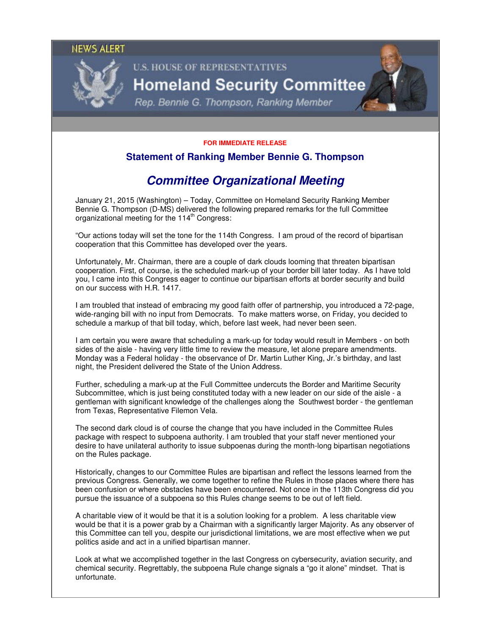### **NEWS ALERT**



# **U.S. HOUSE OF REPRESENTATIVES Homeland Security Committee**

Rep. Bennie G. Thompson, Ranking Member

#### **FOR IMMEDIATE RELEASE**

## **Statement of Ranking Member Bennie G. Thompson**

## **Committee Organizational Meeting**

January 21, 2015 (Washington) – Today, Committee on Homeland Security Ranking Member Bennie G. Thompson (D-MS) delivered the following prepared remarks for the full Committee organizational meeting for the  $114<sup>th</sup>$  Congress:

"Our actions today will set the tone for the 114th Congress. I am proud of the record of bipartisan cooperation that this Committee has developed over the years.

Unfortunately, Mr. Chairman, there are a couple of dark clouds looming that threaten bipartisan cooperation. First, of course, is the scheduled mark-up of your border bill later today. As I have told you, I came into this Congress eager to continue our bipartisan efforts at border security and build on our success with H.R. 1417.

I am troubled that instead of embracing my good faith offer of partnership, you introduced a 72-page, wide-ranging bill with no input from Democrats. To make matters worse, on Friday, you decided to schedule a markup of that bill today, which, before last week, had never been seen.

I am certain you were aware that scheduling a mark-up for today would result in Members - on both sides of the aisle - having very little time to review the measure, let alone prepare amendments. Monday was a Federal holiday - the observance of Dr. Martin Luther King, Jr.'s birthday, and last night, the President delivered the State of the Union Address.

Further, scheduling a mark-up at the Full Committee undercuts the Border and Maritime Security Subcommittee, which is just being constituted today with a new leader on our side of the aisle - a gentleman with significant knowledge of the challenges along the Southwest border - the gentleman from Texas, Representative Filemon Vela.

The second dark cloud is of course the change that you have included in the Committee Rules package with respect to subpoena authority. I am troubled that your staff never mentioned your desire to have unilateral authority to issue subpoenas during the month-long bipartisan negotiations on the Rules package.

Historically, changes to our Committee Rules are bipartisan and reflect the lessons learned from the previous Congress. Generally, we come together to refine the Rules in those places where there has been confusion or where obstacles have been encountered. Not once in the 113th Congress did you pursue the issuance of a subpoena so this Rules change seems to be out of left field.

A charitable view of it would be that it is a solution looking for a problem. A less charitable view would be that it is a power grab by a Chairman with a significantly larger Majority. As any observer of this Committee can tell you, despite our jurisdictional limitations, we are most effective when we put politics aside and act in a unified bipartisan manner.

Look at what we accomplished together in the last Congress on cybersecurity, aviation security, and chemical security. Regrettably, the subpoena Rule change signals a "go it alone" mindset. That is unfortunate.